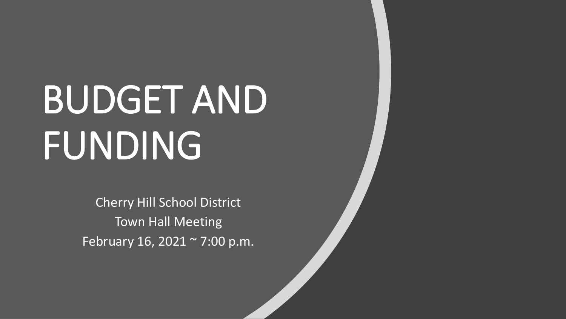# BUDGET AND FUNDING

Cherry Hill School District Town Hall Meeting February 16, 2021 ~ 7:00 p.m.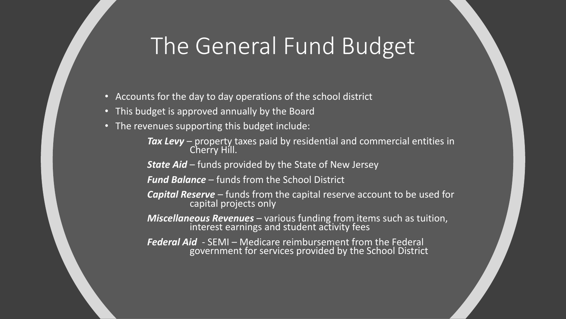### The General Fund Budget

- Accounts for the day to day operations of the school district
- This budget is approved annually by the Board
- The revenues supporting this budget include:
	- *Tax Levy*  property taxes paid by residential and commercial entities in Cherry Hill.

**State Aid** – funds provided by the State of New Jersey

*Fund Balance* – funds from the School District

- *Capital Reserve*  funds from the capital reserve account to be used for capital projects only
- *Miscellaneous Revenues*  various funding from items such as tuition, interest earnings and student activity fees
- *Federal Aid*  SEMI Medicare reimbursement from the Federal government for services provided by the School District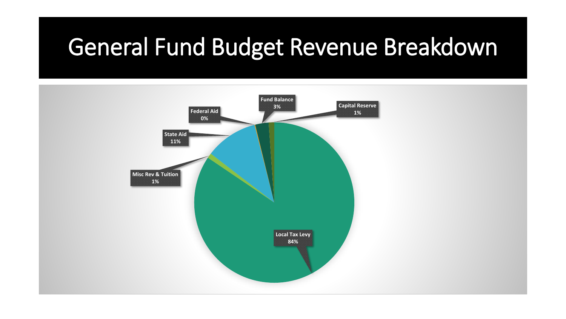## General Fund Budget Revenue Breakdown

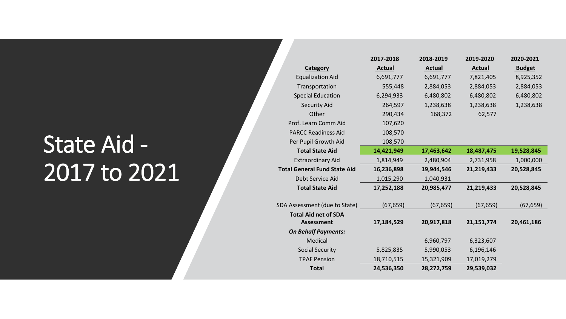## State Aid - 2017 to 2021

|                                                              | 2017-2018     | 2018-2019     | 2019-2020     | 2020-2021     |
|--------------------------------------------------------------|---------------|---------------|---------------|---------------|
| Category                                                     | <b>Actual</b> | <b>Actual</b> | <b>Actual</b> | <b>Budget</b> |
| <b>Equalization Aid</b>                                      | 6,691,777     | 6,691,777     | 7,821,405     | 8,925,352     |
| Transportation                                               | 555,448       | 2,884,053     | 2,884,053     | 2,884,053     |
| <b>Special Education</b>                                     | 6,294,933     | 6,480,802     | 6,480,802     | 6,480,802     |
| <b>Security Aid</b>                                          | 264,597       | 1,238,638     | 1,238,638     | 1,238,638     |
| Other                                                        | 290,434       | 168,372       | 62,577        |               |
| Prof. Learn Comm Aid                                         | 107,620       |               |               |               |
| <b>PARCC Readiness Aid</b>                                   | 108,570       |               |               |               |
| Per Pupil Growth Aid                                         | 108,570       |               |               |               |
| <b>Total State Aid</b>                                       | 14,421,949    | 17,463,642    | 18,487,475    | 19,528,845    |
| <b>Extraordinary Aid</b>                                     | 1,814,949     | 2,480,904     | 2,731,958     | 1,000,000     |
| <b>Total General Fund State Aid</b>                          | 16,236,898    | 19,944,546    | 21,219,433    | 20,528,845    |
|                                                              |               |               |               |               |
| Debt Service Aid                                             | 1,015,290     | 1,040,931     |               |               |
| <b>Total State Aid</b>                                       | 17,252,188    | 20,985,477    | 21,219,433    | 20,528,845    |
|                                                              |               |               |               |               |
| SDA Assessment (due to State)<br><b>Total Aid net of SDA</b> | (67, 659)     | (67, 659)     | (67, 659)     | (67, 659)     |
| <b>Assessment</b>                                            | 17,184,529    | 20,917,818    | 21, 151, 774  | 20,461,186    |
| <b>On Behalf Payments:</b>                                   |               |               |               |               |
| Medical                                                      |               | 6,960,797     | 6,323,607     |               |
| <b>Social Security</b>                                       | 5,825,835     | 5,990,053     | 6,196,146     |               |
| <b>TPAF Pension</b>                                          | 18,710,515    | 15,321,909    | 17,019,279    |               |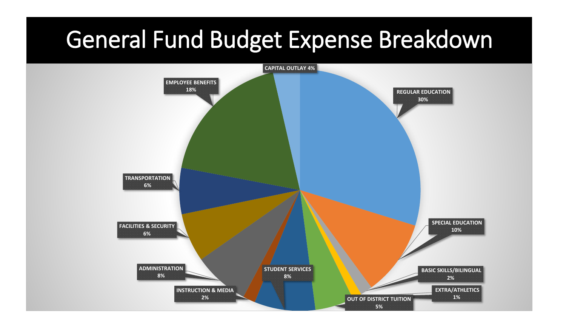#### General Fund Budget Expense Breakdown

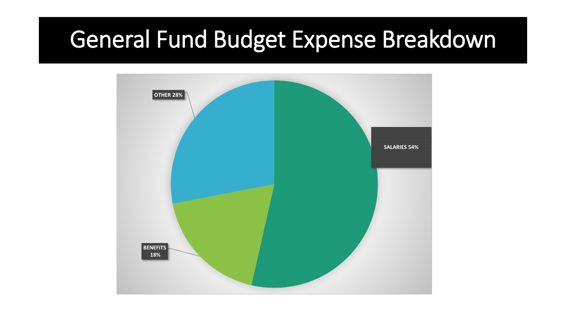### General Fund Budget Expense Breakdown

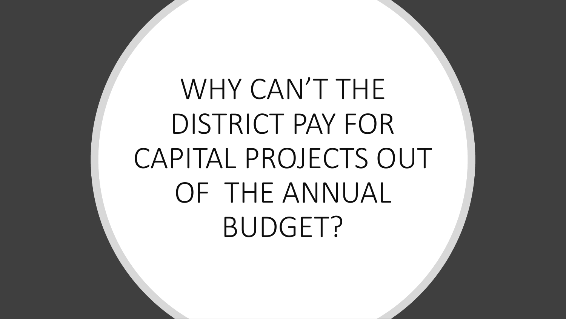WHY CAN'T THE DISTRICT PAY FOR CAPITAL PROJECTS OUT OF THE ANNUAL BUDGET?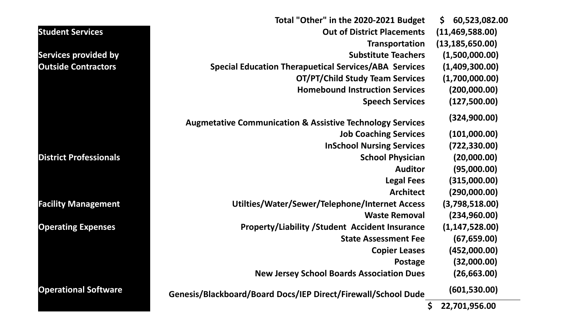|                               | Total "Other" in the 2020-2021 Budget                                | 60,523,082.00<br>Ş. |
|-------------------------------|----------------------------------------------------------------------|---------------------|
| <b>Student Services</b>       | <b>Out of District Placements</b>                                    | (11, 469, 588.00)   |
|                               | Transportation                                                       | (13, 185, 650.00)   |
| <b>Services provided by</b>   | <b>Substitute Teachers</b>                                           | (1,500,000.00)      |
| <b>Outside Contractors</b>    | <b>Special Education Therapuetical Services/ABA Services</b>         | (1,409,300.00)      |
|                               | <b>OT/PT/Child Study Team Services</b>                               | (1,700,000.00)      |
|                               | <b>Homebound Instruction Services</b>                                | (200,000.00)        |
|                               | <b>Speech Services</b>                                               | (127,500.00)        |
|                               | <b>Augmetative Communication &amp; Assistive Technology Services</b> | (324,900.00)        |
|                               | <b>Job Coaching Services</b>                                         | (101,000.00)        |
|                               | <b>InSchool Nursing Services</b>                                     | (722, 330.00)       |
| <b>District Professionals</b> | <b>School Physician</b>                                              | (20,000.00)         |
|                               | <b>Auditor</b>                                                       | (95,000.00)         |
|                               | <b>Legal Fees</b>                                                    | (315,000.00)        |
|                               | <b>Architect</b>                                                     | (290,000.00)        |
| <b>Facility Management</b>    | Utilties/Water/Sewer/Telephone/Internet Access                       | (3,798,518.00)      |
|                               | <b>Waste Removal</b>                                                 | (234,960.00)        |
| <b>Operating Expenses</b>     | <b>Property/Liability /Student Accident Insurance</b>                | (1, 147, 528.00)    |
|                               | <b>State Assessment Fee</b>                                          | (67, 659.00)        |
|                               | <b>Copier Leases</b>                                                 | (452,000.00)        |
|                               | Postage                                                              | (32,000.00)         |
|                               | <b>New Jersey School Boards Association Dues</b>                     | (26, 663.00)        |
| <b>Operational Software</b>   | Genesis/Blackboard/Board Docs/IEP Direct/Firewall/School Dude        | (601, 530.00)       |
|                               | \$                                                                   | 22,701,956.00       |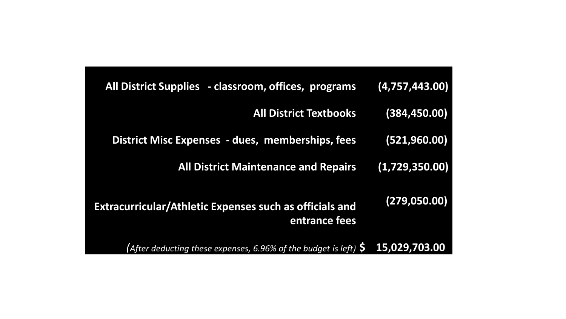| All District Supplies - classroom, offices, programs                            | (4,757,443.00) |
|---------------------------------------------------------------------------------|----------------|
| <b>All District Textbooks</b>                                                   | (384, 450.00)  |
| <b>District Misc Expenses - dues, memberships, fees</b>                         | (521, 960.00)  |
| <b>All District Maintenance and Repairs</b>                                     | (1,729,350.00) |
| <b>Extracurricular/Athletic Expenses such as officials and</b><br>entrance fees | (279, 050.00)  |
| (After deducting these expenses, 6.96% of the budget is left) $\varsigma$       | 15,029,703.00  |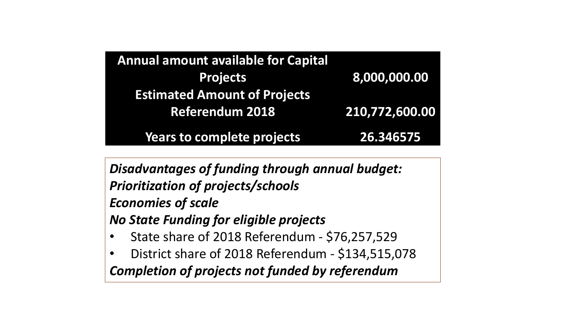| <b>Annual amount available for Capital</b> |                |
|--------------------------------------------|----------------|
| <b>Projects</b>                            | 8,000,000.00   |
| <b>Estimated Amount of Projects</b>        |                |
| <b>Referendum 2018</b>                     | 210,772,600.00 |
| <b>Years to complete projects</b>          | 26.346575      |

*Disadvantages of funding through annual budget: Prioritization of projects/schools Economies of scale No State Funding for eligible projects*  • State share of 2018 Referendum - \$76,257,529

• District share of 2018 Referendum - \$134,515,078 *Completion of projects not funded by referendum*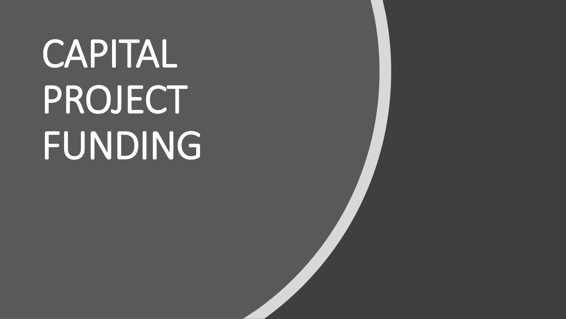# CAPITAL PROJECT FUNDING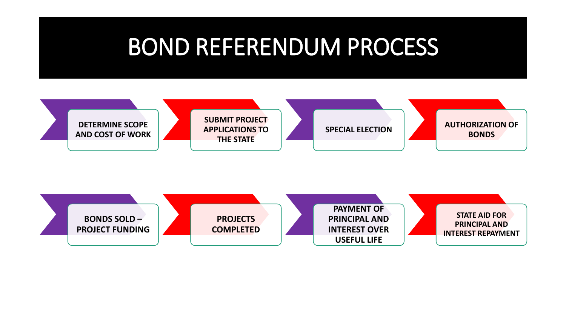#### BOND REFERENDUM PROCESS



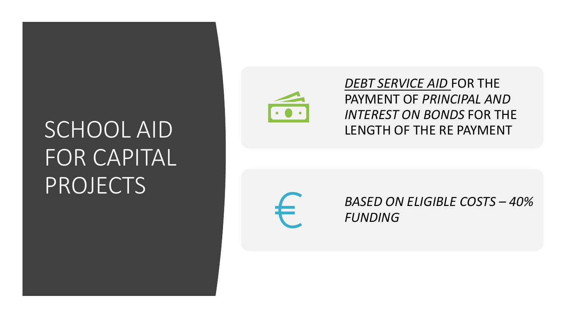# SCHOOL AID FOR CAPITAL PROJECTS



*DEBT SERVICE AID* FOR THE PAYMENT OF *PRINCIPAL AND INTEREST ON BONDS* FOR THE LENGTH OF THE RE PAYMENT



*BASED ON ELIGIBLE COSTS – 40% FUNDING*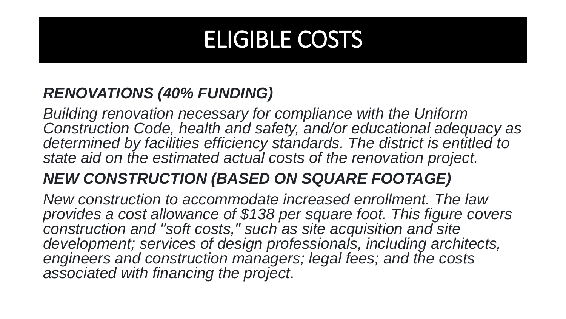## ELIGIBLE COSTS

#### *RENOVATIONS (40% FUNDING)*

*Building renovation necessary for compliance with the Uniform Construction Code, health and safety, and/or educational adequacy as determined by facilities efficiency standards. The district is entitled to state aid on the estimated actual costs of the renovation project.*

#### *NEW CONSTRUCTION (BASED ON SQUARE FOOTAGE)*

*New construction to accommodate increased enrollment. The law provides a cost allowance of \$138 per square foot. This figure covers construction and "soft costs," such as site acquisition and site development; services of design professionals, including architects,*  engineers and construction managers; legal fees; and the costs *associated with financing the project*.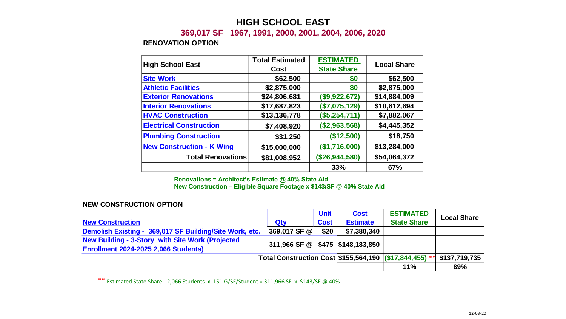#### **HIGH SCHOOL EAST**

#### **369,017 SF 1967, 1991, 2000, 2001, 2004, 2006, 2020**

#### **RENOVATION OPTION**

| <b>High School East</b>          | <b>Total Estimated</b> | <b>ESTIMATED</b>   | <b>Local Share</b> |  |
|----------------------------------|------------------------|--------------------|--------------------|--|
|                                  | Cost                   | <b>State Share</b> |                    |  |
| <b>Site Work</b>                 | \$62,500               | \$0                | \$62,500           |  |
| <b>Athletic Facilities</b>       | \$2,875,000            | \$0                | \$2,875,000        |  |
| <b>Exterior Renovations</b>      | \$24,806,681           | (\$9,922,672)      | \$14,884,009       |  |
| <b>Interior Renovations</b>      | \$17,687,823           | (\$7,075,129)      | \$10,612,694       |  |
| <b>HVAC Construction</b>         | \$13,136,778           | (\$5,254,711)      | \$7,882,067        |  |
| <b>Electrical Construction</b>   | \$7,408,920            | (\$2,963,568)      | \$4,445,352        |  |
| <b>Plumbing Construction</b>     | \$31,250               | (\$12,500)         | \$18,750           |  |
| <b>New Construction - K Wing</b> | \$15,000,000           | (\$1,716,000)      | \$13,284,000       |  |
| <b>Total Renovations</b>         | \$81,008,952           | (\$26,944,580)     | \$54,064,372       |  |
|                                  |                        | 33%                | 67%                |  |

**Renovations = Architect's Estimate @ 40% State Aid**

**New Construction – Eligible Square Footage x \$143/SF @ 40% State Aid**

#### **NEW CONSTRUCTION OPTION**

|                                                                                                         |                                                         | <b>Unit</b> | <b>Cost</b>     | <b>ESTIMATED</b>   | <b>Local Share</b> |
|---------------------------------------------------------------------------------------------------------|---------------------------------------------------------|-------------|-----------------|--------------------|--------------------|
| <b>New Construction</b>                                                                                 | Qty                                                     | <b>Cost</b> | <b>Estimate</b> | <b>State Share</b> |                    |
| Demolish Existing - 369,017 SF Building/Site Work, etc.                                                 | 369,017 SF @                                            | \$20        | \$7,380,340     |                    |                    |
| <b>New Building - 3-Story with Site Work (Projected)</b><br><b>Enrollment 2024-2025 2,066 Students)</b> | 311,966 SF @ \$475 \\$148,183,850                       |             |                 |                    |                    |
|                                                                                                         | Total Construction Cost \$155,564,190 (\$17,844,455) ** |             |                 |                    | \$137,719,735      |
|                                                                                                         |                                                         |             |                 | 11%                | 89%                |

\*\* Estimated State Share - 2,066 Students x 151 G/SF/Student = 311,966 SF x \$143/SF @ 40%